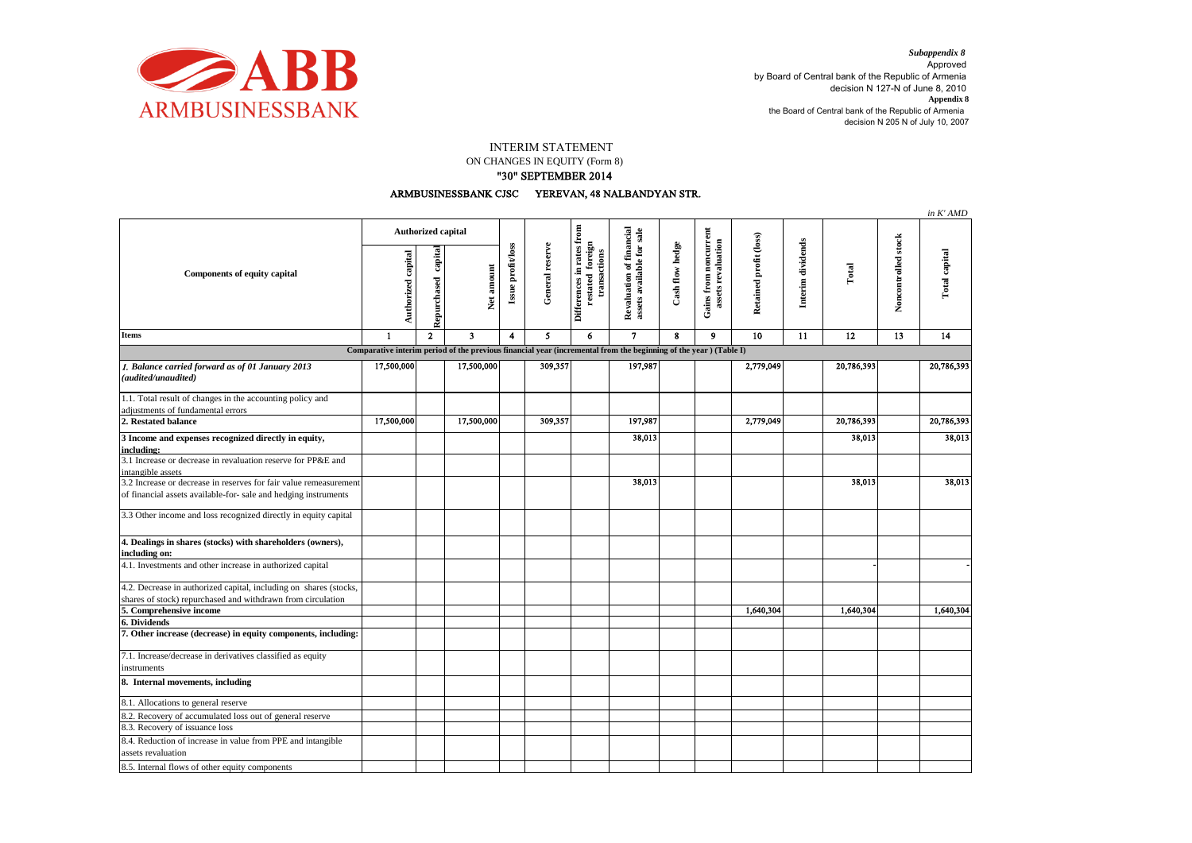

## INTERIM STATEMENT

## ON CHANGES IN EQUITY (Form 8)

## "30" SEPTEMBER 2014

ARMBUSINESSBANK CJSC YEREVAN, 48 NALBANDYAN STR.

|                                                                                                                   |                           |                        |                         |                   |                 |                                                               |                                                       |                 |                                             |                        |                   |            |                     | in K'AMD      |
|-------------------------------------------------------------------------------------------------------------------|---------------------------|------------------------|-------------------------|-------------------|-----------------|---------------------------------------------------------------|-------------------------------------------------------|-----------------|---------------------------------------------|------------------------|-------------------|------------|---------------------|---------------|
| <b>Components of equity capital</b>                                                                               | <b>Authorized capital</b> |                        |                         |                   |                 |                                                               |                                                       |                 |                                             |                        |                   |            |                     |               |
|                                                                                                                   | Authorized capital        | capital<br>Repurchased | Net amount              | Issue profit/loss | General reserve | Differences in rates from<br>restated foreign<br>transactions | Revaluation of financial<br>assets available for sale | Cash flow hedge | Gains from noncurrent<br>assets revaluation | Retained profit (loss) | Interim dividends | Total      | Noncontrolled stock | Total capital |
| <b>Items</b>                                                                                                      | $\mathbf{1}$              | $\overline{2}$         | $\overline{\mathbf{3}}$ | 4                 | 5               | 6                                                             | $\mathbf{7}$                                          | 8               | $\mathbf{9}$                                | 10                     | 11                | 12         | 13                  | 14            |
| Comparative interim period of the previous financial year (incremental from the beginning of the year ) (Table I) |                           |                        |                         |                   |                 |                                                               |                                                       |                 |                                             |                        |                   |            |                     |               |
| 1. Balance carried forward as of 01 January 2013                                                                  | 17,500,000                |                        | 17,500,000              |                   | 309,357         |                                                               | 197,987                                               |                 |                                             | 2,779,049              |                   | 20,786,393 |                     | 20,786,393    |
| (audited/unaudited)                                                                                               |                           |                        |                         |                   |                 |                                                               |                                                       |                 |                                             |                        |                   |            |                     |               |
| 1.1. Total result of changes in the accounting policy and                                                         |                           |                        |                         |                   |                 |                                                               |                                                       |                 |                                             |                        |                   |            |                     |               |
| adjustments of fundamental errors<br>2. Restated balance                                                          | 17,500,000                |                        | 17,500,000              |                   | 309.357         |                                                               | 197,987                                               |                 |                                             | 2,779,049              |                   | 20,786,393 |                     | 20,786,393    |
|                                                                                                                   |                           |                        |                         |                   |                 |                                                               |                                                       |                 |                                             |                        |                   |            |                     |               |
| 3 Income and expenses recognized directly in equity,<br>including:                                                |                           |                        |                         |                   |                 |                                                               | 38,013                                                |                 |                                             |                        |                   | 38,013     |                     | 38,013        |
| 3.1 Increase or decrease in revaluation reserve for PP&E and<br>intangible assets                                 |                           |                        |                         |                   |                 |                                                               |                                                       |                 |                                             |                        |                   |            |                     |               |
| 3.2 Increase or decrease in reserves for fair value remeasurement                                                 |                           |                        |                         |                   |                 |                                                               | 38,013                                                |                 |                                             |                        |                   | 38,013     |                     | 38,013        |
| of financial assets available-for- sale and hedging instruments                                                   |                           |                        |                         |                   |                 |                                                               |                                                       |                 |                                             |                        |                   |            |                     |               |
| 3.3 Other income and loss recognized directly in equity capital                                                   |                           |                        |                         |                   |                 |                                                               |                                                       |                 |                                             |                        |                   |            |                     |               |
| 4. Dealings in shares (stocks) with shareholders (owners),<br>including on:                                       |                           |                        |                         |                   |                 |                                                               |                                                       |                 |                                             |                        |                   |            |                     |               |
| 4.1. Investments and other increase in authorized capital                                                         |                           |                        |                         |                   |                 |                                                               |                                                       |                 |                                             |                        |                   |            |                     |               |
| 4.2. Decrease in authorized capital, including on shares (stocks,                                                 |                           |                        |                         |                   |                 |                                                               |                                                       |                 |                                             |                        |                   |            |                     |               |
| shares of stock) repurchased and withdrawn from circulation                                                       |                           |                        |                         |                   |                 |                                                               |                                                       |                 |                                             |                        |                   |            |                     |               |
| 5. Comprehensive income                                                                                           |                           |                        |                         |                   |                 |                                                               |                                                       |                 |                                             | 1,640,304              |                   | 1,640,304  |                     | 1,640,304     |
| 6. Dividends<br>7. Other increase (decrease) in equity components, including:                                     |                           |                        |                         |                   |                 |                                                               |                                                       |                 |                                             |                        |                   |            |                     |               |
| 7.1. Increase/decrease in derivatives classified as equity<br>instruments                                         |                           |                        |                         |                   |                 |                                                               |                                                       |                 |                                             |                        |                   |            |                     |               |
| 8. Internal movements, including                                                                                  |                           |                        |                         |                   |                 |                                                               |                                                       |                 |                                             |                        |                   |            |                     |               |
| 8.1. Allocations to general reserve                                                                               |                           |                        |                         |                   |                 |                                                               |                                                       |                 |                                             |                        |                   |            |                     |               |
| 8.2. Recovery of accumulated loss out of general reserve                                                          |                           |                        |                         |                   |                 |                                                               |                                                       |                 |                                             |                        |                   |            |                     |               |
| 8.3. Recovery of issuance loss                                                                                    |                           |                        |                         |                   |                 |                                                               |                                                       |                 |                                             |                        |                   |            |                     |               |
| 8.4. Reduction of increase in value from PPE and intangible                                                       |                           |                        |                         |                   |                 |                                                               |                                                       |                 |                                             |                        |                   |            |                     |               |
| assets revaluation                                                                                                |                           |                        |                         |                   |                 |                                                               |                                                       |                 |                                             |                        |                   |            |                     |               |
| 8.5. Internal flows of other equity components                                                                    |                           |                        |                         |                   |                 |                                                               |                                                       |                 |                                             |                        |                   |            |                     |               |